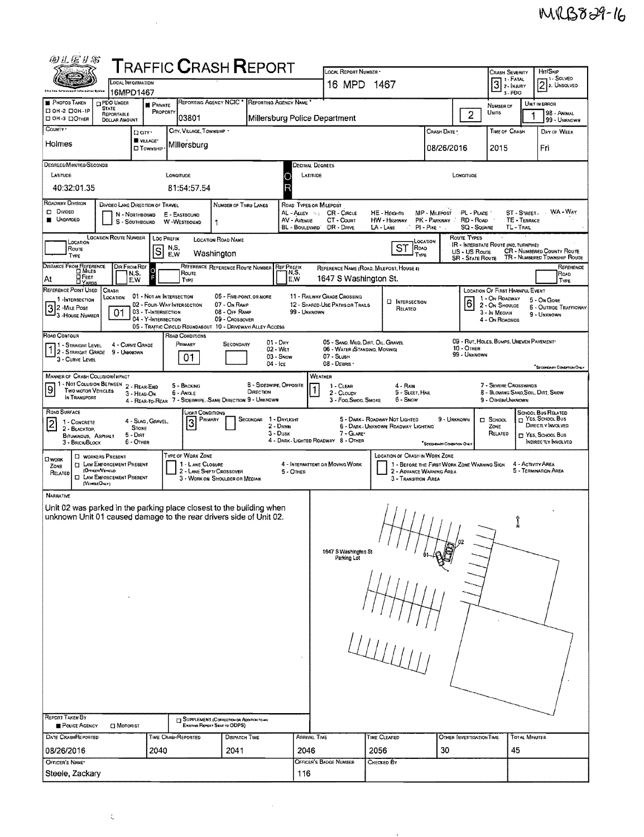| 田正运开思                                                                                                                                                                                                                                                                                                        |                                                                                                                                                                                                                                                                                                        | <b>TRAFFIC CRASH REPORT</b>                                                                               |                                               |                                                                           |          |                         |                                                                | LOCAL REPORT NUMBER .<br>HIT/SKIP   |                                                                         |                          |                                      |                      |                                                |  |  |  |
|--------------------------------------------------------------------------------------------------------------------------------------------------------------------------------------------------------------------------------------------------------------------------------------------------------------|--------------------------------------------------------------------------------------------------------------------------------------------------------------------------------------------------------------------------------------------------------------------------------------------------------|-----------------------------------------------------------------------------------------------------------|-----------------------------------------------|---------------------------------------------------------------------------|----------|-------------------------|----------------------------------------------------------------|-------------------------------------|-------------------------------------------------------------------------|--------------------------|--------------------------------------|----------------------|------------------------------------------------|--|--|--|
|                                                                                                                                                                                                                                                                                                              | LOCAL INFORMATION                                                                                                                                                                                                                                                                                      |                                                                                                           |                                               |                                                                           |          |                         | 16 MPD 1467                                                    |                                     |                                                                         |                          | <b>CRASH SEVERITY</b><br>$3$ : Fatal |                      | -, 1 - Solved<br>$2$ 2. UNSOLVED               |  |  |  |
| <b>PHOTOS TAKEN</b>                                                                                                                                                                                                                                                                                          | 16MPD1467<br><b>OPDO UNDER</b>                                                                                                                                                                                                                                                                         |                                                                                                           | <b>REPORTING AGENCY NCIC</b>                  |                                                                           |          | REPORTING AGENCY NAME   |                                                                |                                     |                                                                         |                          | 3-PDO                                |                      | UNIT IN ERROR                                  |  |  |  |
| □ он-2 □ он-1Р<br>DOH-3 DOTHER                                                                                                                                                                                                                                                                               | <b>STATE</b><br><b>REPORTABLE</b><br><b>DOLLAR AMOUNT</b>                                                                                                                                                                                                                                              | <b>PRIVATE</b><br>PROPERTY                                                                                | 03801                                         |                                                                           |          |                         | Millersburg Police Department                                  |                                     |                                                                         | $\overline{2}$           | NUMBER OF<br>UNITS                   |                      | 98 - Animal<br>99 - UNKNOWN                    |  |  |  |
| County -                                                                                                                                                                                                                                                                                                     |                                                                                                                                                                                                                                                                                                        | Darr.                                                                                                     | CITY, VILLAGE, TOWNSHIP *                     |                                                                           |          |                         |                                                                |                                     | Crash Date *                                                            |                          | TIME OF CRASH                        |                      | DAY OF WEEK                                    |  |  |  |
| Holmes                                                                                                                                                                                                                                                                                                       |                                                                                                                                                                                                                                                                                                        | VILLAGE*<br><b>D</b> Township                                                                             | Millersburg                                   |                                                                           |          |                         |                                                                |                                     | 08/26/2016                                                              |                          | 2015                                 |                      | Fri                                            |  |  |  |
| DEGREES/MINUTES/SECONDS                                                                                                                                                                                                                                                                                      |                                                                                                                                                                                                                                                                                                        |                                                                                                           |                                               |                                                                           |          | Decimal Degrees         |                                                                |                                     |                                                                         |                          |                                      |                      |                                                |  |  |  |
| LATITUDE                                                                                                                                                                                                                                                                                                     |                                                                                                                                                                                                                                                                                                        | LONGITUDE                                                                                                 |                                               |                                                                           |          |                         | LATITUDE<br>LONGITUDE                                          |                                     |                                                                         |                          |                                      |                      |                                                |  |  |  |
| R<br>40:32:01.35<br>81:54:57.54                                                                                                                                                                                                                                                                              |                                                                                                                                                                                                                                                                                                        |                                                                                                           |                                               |                                                                           |          |                         |                                                                |                                     |                                                                         |                          |                                      |                      |                                                |  |  |  |
| ROADWAY DIVISION<br>DIVIDED LANE DIRECTION OF TRAVEL<br>NUMBER OF THRU LANES<br>ROAD TYPES OR MILEPOST<br>D Divideo<br>WA-WAY<br>AL - ALLEY SEC CR - CIRCLE<br>HE - HEIGHTS<br>MP - MILEPOST<br>PL - PLACE<br>ST - STREET.<br>N - NORTHBOUND<br>E - EASTBOUND                                                |                                                                                                                                                                                                                                                                                                        |                                                                                                           |                                               |                                                                           |          |                         |                                                                |                                     |                                                                         |                          |                                      |                      |                                                |  |  |  |
| <b>UNDIVIDED</b><br>TE - TERRACE<br>AV - AVENUE<br>CT - COURT<br>HW - HIGHWAY<br>PK - PARKWAY RD - ROAD<br>- SOUTHBOUND<br>W-WESTBOUND<br>s<br>1<br>BL - BOULEVARD DR - DRIVE<br>LA - LANE<br>PI - PIKE -<br><b>SQ - SQUARE</b><br>TL-TRAIL<br>- 1                                                           |                                                                                                                                                                                                                                                                                                        |                                                                                                           |                                               |                                                                           |          |                         |                                                                |                                     |                                                                         |                          |                                      |                      |                                                |  |  |  |
| <b>LOCATION ROUTE NUMBER</b><br>LOC PREFIX<br>ROUTE TYPES<br><b>LOCATION ROAD NAME</b><br>LOCATION<br>LOCATION<br>IR - INTERSTATE ROUTE (INC. TURNPIKE)                                                                                                                                                      |                                                                                                                                                                                                                                                                                                        |                                                                                                           |                                               |                                                                           |          |                         |                                                                |                                     |                                                                         |                          |                                      |                      |                                                |  |  |  |
| ST<br>N,S,<br>ROAD<br>Route<br>$\overline{S}$<br>CR - NUMBERED COUNTY ROUTE<br>US - US Route<br>Washington<br>E,W<br>Type<br>TYPE<br>TR - NUMBERED TOWNSHIP ROUTE<br><b>SR - STATE ROUTE</b>                                                                                                                 |                                                                                                                                                                                                                                                                                                        |                                                                                                           |                                               |                                                                           |          |                         |                                                                |                                     |                                                                         |                          |                                      |                      |                                                |  |  |  |
| DISTANCE FROM REFERENCE<br>REFERENCE REFERENCE ROUTE NUMBER<br>DIR FROM REF<br><b>REF PREEIX</b><br>REFERENCE<br>REFERENCE NAME (ROAD, MILEPOST, HOUSE 4)<br>$\circ$<br>N,S,<br>N,S,<br>ROUTE<br>Road<br><b>OFEET</b>                                                                                        |                                                                                                                                                                                                                                                                                                        |                                                                                                           |                                               |                                                                           |          |                         |                                                                |                                     |                                                                         |                          |                                      |                      |                                                |  |  |  |
| 1647 S Washington St.<br>At<br>E.W<br>E.W<br>TYPE<br>TYPE<br>$\Box$ YARDS<br>REFERENCE POINT USED<br>CRASH<br><b>LOCATION OF FIRST HARMFUL EVENT</b><br>06 - FIVE-POINT, OR MORE                                                                                                                             |                                                                                                                                                                                                                                                                                                        |                                                                                                           |                                               |                                                                           |          |                         |                                                                |                                     |                                                                         |                          |                                      |                      |                                                |  |  |  |
| 1 -INTERSECTION<br>32 - Mile Post                                                                                                                                                                                                                                                                            | LOCATION                                                                                                                                                                                                                                                                                               | 01 - NOT AN INTERSECTION<br>02 - FOUR-WAY INTERSECTION                                                    |                                               | 07 - On RAMP<br>08 - OFF RAMP                                             |          |                         | 11 - RAILWAY GRADE CROSSING<br>12 - SHARED-USE PATHS OR TRAILS | <b>EI INTERSECTION</b><br>RELATED   |                                                                         | 16                       | 1 - On ROADWAY<br>2 - ON SHOULDE     |                      | 5 - On Gore<br><b>6 - OUTSIDE TRAFFICWAY</b>   |  |  |  |
| 3 - House Number                                                                                                                                                                                                                                                                                             | 01                                                                                                                                                                                                                                                                                                     | 03 - T-INTERSECTION<br>04 - Y-Intersection<br>05 - TRAFFIC CIRCLE/ ROUNDABOUT 10 - DRIVEWAY/ ALLEY ACCESS |                                               | 09 - Crossover                                                            |          | 99 - UNKNOWN            |                                                                |                                     |                                                                         |                          | 3 - In Median<br>4 - ON ROADSIDE     |                      | 9 - UNKNOWN                                    |  |  |  |
| ROAD CONTOUR                                                                                                                                                                                                                                                                                                 |                                                                                                                                                                                                                                                                                                        |                                                                                                           | ROAD CONDITIONS                               |                                                                           |          |                         |                                                                |                                     |                                                                         |                          |                                      |                      |                                                |  |  |  |
|                                                                                                                                                                                                                                                                                                              | 09 - RUT, HOLES, BUMPS, UNEVEN PAVEMENT<br>05 - SAND, MUD, DIRT, OIL, GRAVEL<br>$01 - Draw$<br>PRIMARY<br>SECONDARY<br>4 CURVE GRADE<br>  1 - Straight Level<br>10 - OTHER<br>02 - WET<br>06 - WATER (STANDING, MOVING)<br>1 2 - STRAIGHT GRADE 9 - UNKNOWN<br>99 - UNKNOWN<br>03 - Snow<br>07 - SLUSH |                                                                                                           |                                               |                                                                           |          |                         |                                                                |                                     |                                                                         |                          |                                      |                      |                                                |  |  |  |
| 01<br>3 - CURVE LEVEL<br>08 - Dearus<br>$04 -$ ICE<br><b>SECONDARY CONDITION ONLY</b>                                                                                                                                                                                                                        |                                                                                                                                                                                                                                                                                                        |                                                                                                           |                                               |                                                                           |          |                         |                                                                |                                     |                                                                         |                          |                                      |                      |                                                |  |  |  |
| <b>MANNER OF CRASH COLLISION/IMPACT</b><br>WEATHER<br>1 - NOT COLUSION BETWEEN 2 - REAR-END<br>8 - Sideswipe, Opposite<br>7 - SEVERE CROSSWINDS<br>5 - BACKING<br>4 - RAIN<br>1 - CLEAR<br>1                                                                                                                 |                                                                                                                                                                                                                                                                                                        |                                                                                                           |                                               |                                                                           |          |                         |                                                                |                                     |                                                                         |                          |                                      |                      |                                                |  |  |  |
| $\overline{9}$<br><b>TWO MOTOR VEHICLES</b><br><b>DIRECTION</b><br>5 - SLEET, HAIL<br>8 - BLOWING SAND, SOIL, DIRT, SNOW<br>6 - Angle<br>2 - CLOUDY<br>3 - HEAD-ON<br>IN TRANSPORT<br>7 - SIDESWIPE, SAME DIRECTION 9 - UNKNOWN<br>6 - Snow<br>9 - OTHER/UNKNOWN<br>3 - Fog, Smog, Smoke<br>4 - REAR-TO-REAR |                                                                                                                                                                                                                                                                                                        |                                                                                                           |                                               |                                                                           |          |                         |                                                                |                                     |                                                                         |                          |                                      |                      |                                                |  |  |  |
| ROAD SURFACE<br>1 - CONCRETE                                                                                                                                                                                                                                                                                 |                                                                                                                                                                                                                                                                                                        | 4 - SLAG, GRAVEL,                                                                                         | Light Conditions<br>PRIMARY<br>$\overline{3}$ |                                                                           | SECONDAR | 1 - DAYLIGHT            |                                                                | 5 - DARK - ROADWAY NOT LIGHTED      | 9 - UNKNOWN                                                             |                          | $\square$ School                     |                      | <b>SCHOOL BUS RELATED</b><br>m YES, SCHOOL Bus |  |  |  |
| $\overline{2}$<br>2 - BLACKTOP.<br>BITUMINOUS, ASPHALT                                                                                                                                                                                                                                                       | <b>STONE</b><br>$5 -$ Diri                                                                                                                                                                                                                                                                             |                                                                                                           |                                               |                                                                           |          | 2 - DAWN<br>$3 - D$ usk | 7 - GLAREY                                                     | 6 - DARK - UNKNOWN ROADWAY LIGHTING |                                                                         |                          | ZONE<br>RELATED                      |                      | DIRECTLY INVOLVED<br>П YES, SCHOOL Bus         |  |  |  |
| 3 - BRICK/BLOCK                                                                                                                                                                                                                                                                                              | $6  O$ THER                                                                                                                                                                                                                                                                                            |                                                                                                           | TYPE OF WORK ZONE                             |                                                                           |          |                         | 4 - DARK - LIGHTED ROADWAY 8 - OTHER                           | LOCATION OF CRASH IN WORK ZONE      | <sup>*</sup> SECONDARY CONDITION ON.1                                   |                          |                                      |                      | INDIRECTLY INVOLVED                            |  |  |  |
| <b>CI WORK</b><br>ZONE                                                                                                                                                                                                                                                                                       | <b>D</b> WORKERS PRESENT<br><b>ET LAW ENFORCEMENT PRESENT</b><br>(Orices/Vercus)                                                                                                                                                                                                                       |                                                                                                           | 1 - LANE CLOSURE<br>2 - LANE SHIFT/ CROSSOVER |                                                                           |          | 5 - Omen                | 4 - INTERMITTENT OR MOVING WORK                                |                                     | 1 - BEFORE THE FIRST WORK ZONE WARNING SIGN<br>2 - ADVANCE WARNING AREA |                          |                                      | 4 - ACTIVITY AREA    | 5 - TERMINATION AREA                           |  |  |  |
| RELATED<br>(VENOCLEONLY)                                                                                                                                                                                                                                                                                     | <b>CI LAW ENFORCEMENT PRESENT</b>                                                                                                                                                                                                                                                                      |                                                                                                           |                                               | 3 - WORK ON SHOULDER OR MEDIAN                                            |          |                         |                                                                | 3 - TRANSITION AREA                 |                                                                         |                          |                                      |                      |                                                |  |  |  |
| <b>NARRATIVE</b>                                                                                                                                                                                                                                                                                             |                                                                                                                                                                                                                                                                                                        |                                                                                                           |                                               |                                                                           |          |                         |                                                                |                                     |                                                                         |                          |                                      |                      |                                                |  |  |  |
| Unit 02 was parked in the parking place closest to the building when<br>unknown Unit 01 caused damage to the rear drivers side of Unit 02.                                                                                                                                                                   |                                                                                                                                                                                                                                                                                                        |                                                                                                           |                                               |                                                                           |          |                         |                                                                |                                     |                                                                         |                          |                                      |                      |                                                |  |  |  |
|                                                                                                                                                                                                                                                                                                              |                                                                                                                                                                                                                                                                                                        |                                                                                                           |                                               |                                                                           |          |                         |                                                                |                                     | 1111                                                                    |                          |                                      |                      |                                                |  |  |  |
|                                                                                                                                                                                                                                                                                                              |                                                                                                                                                                                                                                                                                                        |                                                                                                           |                                               |                                                                           |          |                         | 1647 S Washington St                                           |                                     |                                                                         |                          |                                      |                      |                                                |  |  |  |
|                                                                                                                                                                                                                                                                                                              |                                                                                                                                                                                                                                                                                                        |                                                                                                           |                                               |                                                                           |          |                         | Parking Lot                                                    |                                     |                                                                         |                          |                                      |                      |                                                |  |  |  |
|                                                                                                                                                                                                                                                                                                              |                                                                                                                                                                                                                                                                                                        |                                                                                                           |                                               |                                                                           |          |                         |                                                                |                                     |                                                                         |                          |                                      |                      |                                                |  |  |  |
|                                                                                                                                                                                                                                                                                                              |                                                                                                                                                                                                                                                                                                        |                                                                                                           |                                               |                                                                           |          |                         |                                                                |                                     |                                                                         |                          |                                      |                      |                                                |  |  |  |
|                                                                                                                                                                                                                                                                                                              |                                                                                                                                                                                                                                                                                                        |                                                                                                           |                                               |                                                                           |          |                         |                                                                |                                     |                                                                         |                          |                                      |                      |                                                |  |  |  |
|                                                                                                                                                                                                                                                                                                              |                                                                                                                                                                                                                                                                                                        |                                                                                                           |                                               |                                                                           |          |                         |                                                                |                                     |                                                                         |                          |                                      |                      |                                                |  |  |  |
|                                                                                                                                                                                                                                                                                                              |                                                                                                                                                                                                                                                                                                        |                                                                                                           |                                               |                                                                           |          |                         |                                                                | $\frac{1}{L}$                       |                                                                         |                          |                                      |                      |                                                |  |  |  |
|                                                                                                                                                                                                                                                                                                              |                                                                                                                                                                                                                                                                                                        |                                                                                                           |                                               |                                                                           |          |                         |                                                                |                                     |                                                                         |                          |                                      |                      |                                                |  |  |  |
|                                                                                                                                                                                                                                                                                                              |                                                                                                                                                                                                                                                                                                        |                                                                                                           |                                               |                                                                           |          |                         |                                                                |                                     |                                                                         |                          |                                      |                      |                                                |  |  |  |
|                                                                                                                                                                                                                                                                                                              |                                                                                                                                                                                                                                                                                                        |                                                                                                           |                                               |                                                                           |          |                         |                                                                |                                     |                                                                         |                          |                                      |                      |                                                |  |  |  |
|                                                                                                                                                                                                                                                                                                              |                                                                                                                                                                                                                                                                                                        |                                                                                                           |                                               |                                                                           |          |                         |                                                                |                                     |                                                                         |                          |                                      |                      |                                                |  |  |  |
| REPORT TAKEN BY<br>POLICE AGENCY                                                                                                                                                                                                                                                                             | <b>CI MOTORIST</b>                                                                                                                                                                                                                                                                                     |                                                                                                           |                                               | SUPPLEMENT (CORRECTION OR ADDITION TO AN<br>Existing Report Sent to ODPS) |          |                         |                                                                |                                     |                                                                         |                          |                                      |                      |                                                |  |  |  |
| DATE CRASHREPORTED                                                                                                                                                                                                                                                                                           |                                                                                                                                                                                                                                                                                                        | <b>TIME CRASHREPORTED</b>                                                                                 |                                               | DISPATCH TIME                                                             |          |                         | <b>ARRIVAL TIME</b>                                            | TIME CLEARED                        |                                                                         | OTHER INVESTIGATION TIME |                                      | <b>TOTAL MINUTES</b> |                                                |  |  |  |
| 08/26/2016<br>2040<br>2041                                                                                                                                                                                                                                                                                   |                                                                                                                                                                                                                                                                                                        |                                                                                                           |                                               |                                                                           |          | 2046                    |                                                                | 2056                                | 30                                                                      |                          | 45                                   |                      |                                                |  |  |  |
| OFFICER'S NAME<br>Steele, Zackary                                                                                                                                                                                                                                                                            |                                                                                                                                                                                                                                                                                                        |                                                                                                           |                                               |                                                                           |          |                         | OFFICER'S BADGE NUMBER<br>CHECKED BY<br>116                    |                                     |                                                                         |                          |                                      |                      |                                                |  |  |  |
|                                                                                                                                                                                                                                                                                                              |                                                                                                                                                                                                                                                                                                        |                                                                                                           |                                               |                                                                           |          |                         |                                                                |                                     |                                                                         |                          |                                      |                      |                                                |  |  |  |

 $\mathcal{L}_{\mathcal{A}}$ 

 $\hat{\mathcal{A}}$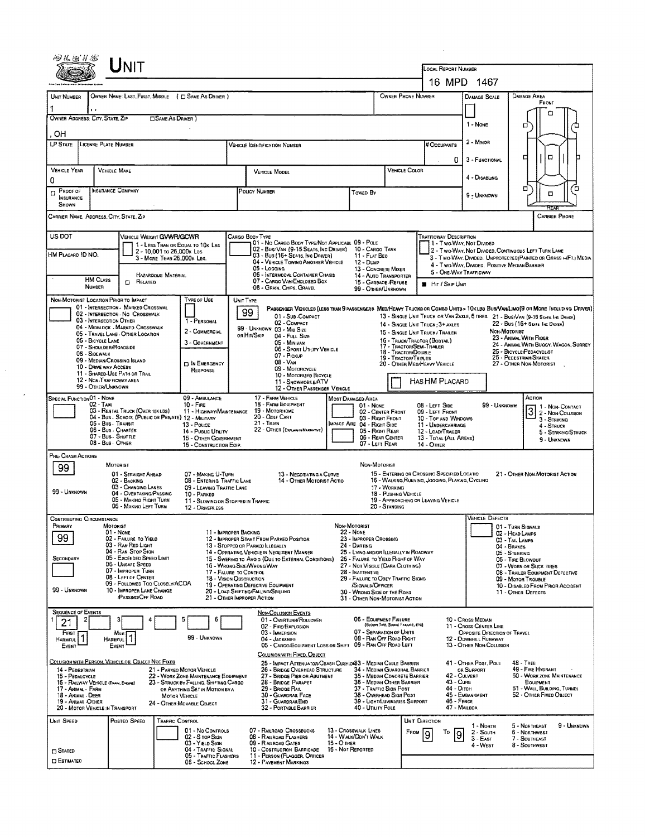|                                                                                                                                                                                                                                         |                                                                                                                                                                                                                                                                                                                                                                                        |                                                                                                                                                                                                          |                                                                                                                                                                                                                                                                                                                                                                                                       | OCAL REPORT NUMBER<br>16 MPD 1467                                                                                                                                                                                                                                                                                                   |                                                                                                                                                                                                                                                                                             |                                                                                                                                                                                                                                                                                                                                                                                                                                             |                                                                                                                                                                                                                                                                                  |                                                                                                                                            |  |
|-----------------------------------------------------------------------------------------------------------------------------------------------------------------------------------------------------------------------------------------|----------------------------------------------------------------------------------------------------------------------------------------------------------------------------------------------------------------------------------------------------------------------------------------------------------------------------------------------------------------------------------------|----------------------------------------------------------------------------------------------------------------------------------------------------------------------------------------------------------|-------------------------------------------------------------------------------------------------------------------------------------------------------------------------------------------------------------------------------------------------------------------------------------------------------------------------------------------------------------------------------------------------------|-------------------------------------------------------------------------------------------------------------------------------------------------------------------------------------------------------------------------------------------------------------------------------------------------------------------------------------|---------------------------------------------------------------------------------------------------------------------------------------------------------------------------------------------------------------------------------------------------------------------------------------------|---------------------------------------------------------------------------------------------------------------------------------------------------------------------------------------------------------------------------------------------------------------------------------------------------------------------------------------------------------------------------------------------------------------------------------------------|----------------------------------------------------------------------------------------------------------------------------------------------------------------------------------------------------------------------------------------------------------------------------------|--------------------------------------------------------------------------------------------------------------------------------------------|--|
|                                                                                                                                                                                                                                         |                                                                                                                                                                                                                                                                                                                                                                                        |                                                                                                                                                                                                          |                                                                                                                                                                                                                                                                                                                                                                                                       |                                                                                                                                                                                                                                                                                                                                     |                                                                                                                                                                                                                                                                                             |                                                                                                                                                                                                                                                                                                                                                                                                                                             |                                                                                                                                                                                                                                                                                  |                                                                                                                                            |  |
| UNIT NUMBER<br>OWNER ADDRESS: CITY, STATE, ZIP<br>OН                                                                                                                                                                                    | $\blacksquare$                                                                                                                                                                                                                                                                                                                                                                         | OWNER NAME: LAST, FIRST, MIDDLE ( C SAME AS DRIVER )<br><b>CISAME AS DRIVER</b> )                                                                                                                        |                                                                                                                                                                                                                                                                                                                                                                                                       | OWNER PHONE NUMBER                                                                                                                                                                                                                                                                                                                  |                                                                                                                                                                                                                                                                                             | <b>DAMAGE SCALE</b><br>1 - None                                                                                                                                                                                                                                                                                                                                                                                                             | <b>DAMAGE AREA</b><br>FRONT<br>о<br>ο                                                                                                                                                                                                                                            |                                                                                                                                            |  |
| <b>LP STATE</b>                                                                                                                                                                                                                         | LICENSE PLATE NUMBER                                                                                                                                                                                                                                                                                                                                                                   |                                                                                                                                                                                                          | <b>VEHICLE IDENTIFICATION NUMBER</b>                                                                                                                                                                                                                                                                                                                                                                  |                                                                                                                                                                                                                                                                                                                                     |                                                                                                                                                                                                                                                                                             |                                                                                                                                                                                                                                                                                                                                                                                                                                             |                                                                                                                                                                                                                                                                                  |                                                                                                                                            |  |
|                                                                                                                                                                                                                                         |                                                                                                                                                                                                                                                                                                                                                                                        |                                                                                                                                                                                                          |                                                                                                                                                                                                                                                                                                                                                                                                       |                                                                                                                                                                                                                                                                                                                                     |                                                                                                                                                                                                                                                                                             | # Occupants<br>0                                                                                                                                                                                                                                                                                                                                                                                                                            | 3 - FUNCTIONAL                                                                                                                                                                                                                                                                   | □<br>o                                                                                                                                     |  |
| <b>VEHICLE YEAR</b><br>0                                                                                                                                                                                                                | VEHICLE MAKE                                                                                                                                                                                                                                                                                                                                                                           |                                                                                                                                                                                                          | <b>VEHICLE MODEL</b>                                                                                                                                                                                                                                                                                                                                                                                  |                                                                                                                                                                                                                                                                                                                                     | VEHICLE COLOR                                                                                                                                                                                                                                                                               |                                                                                                                                                                                                                                                                                                                                                                                                                                             | 4 - DISABLING                                                                                                                                                                                                                                                                    | α<br>ο                                                                                                                                     |  |
| $D$ PROOF OF<br><b>NEURANCE</b><br>SHOWN                                                                                                                                                                                                | <b>INSURANCE COMPANY</b>                                                                                                                                                                                                                                                                                                                                                               |                                                                                                                                                                                                          | POLICY NUMBER                                                                                                                                                                                                                                                                                                                                                                                         | TOWED BY                                                                                                                                                                                                                                                                                                                            |                                                                                                                                                                                                                                                                                             |                                                                                                                                                                                                                                                                                                                                                                                                                                             | 9 - UNKNOWN                                                                                                                                                                                                                                                                      | O                                                                                                                                          |  |
|                                                                                                                                                                                                                                         | CARRIER NAME, ADDRESS, CITY, STATE, ZIP                                                                                                                                                                                                                                                                                                                                                |                                                                                                                                                                                                          |                                                                                                                                                                                                                                                                                                                                                                                                       |                                                                                                                                                                                                                                                                                                                                     |                                                                                                                                                                                                                                                                                             |                                                                                                                                                                                                                                                                                                                                                                                                                                             |                                                                                                                                                                                                                                                                                  | <b>CARRIER PHONE</b>                                                                                                                       |  |
| US DOT<br>VEHICLE WEIGHT <b>GVWR/GCWR</b><br>1 - LESS THAN OR EQUAL TO 10K LBS<br>2 - 10,001 to 26,000k Las<br>HM PLACARD ID NO.<br>3 - MORE THAN 26.000K LBS.<br>HAZARDOUS MATERIAL<br><b>HM CLASS</b><br>$D$ Related<br><b>NUMBER</b> |                                                                                                                                                                                                                                                                                                                                                                                        |                                                                                                                                                                                                          | Cargo Body Type<br>01 - No CARGO BODY TYPE/NOT APPLICABL 09 - POLE<br>02 - Bus/Van (9-15 Seats, Inc Driver)<br>03 - Bus (16+ Seats, NG DRIVER)<br>04 - VEHICLE TOWING ANOTHER VEHICLE<br>05 - LOGGING<br>06 - INTERMODAL CONTAINER CHASIS<br>07 - CARGO VAN/ENCLOSED BOX<br>08 - Gran Chips Gravel                                                                                                    | 10 - CARGO TANK<br>13 - CONCRETE MIXER<br><b>14 - AUTO TRANSPORTER</b><br>15 - GARBAOE /REFUSE<br>99 - OTHER/UNKNOWN                                                                                                                                                                                                                | <b>TRAFFICWAY DESCRIPTION</b><br>1 - Two-Way, Not Divided<br>2 - Two-Way, Not Divided, Continuous Left Turn Lane<br>3 - Two Way, DIVIDED. UNPROTECTED (PAINTED OR GRASS >4FT.) MEDIA<br>4 - Two-Way, Divided, Positive Median Barrier<br>5 - ONE-WAY TRAFFICWAY<br><b>B</b> HIT / SKIP UNIT |                                                                                                                                                                                                                                                                                                                                                                                                                                             |                                                                                                                                                                                                                                                                                  |                                                                                                                                            |  |
|                                                                                                                                                                                                                                         | NON-MOTORIST LOCATION PRIOR TO IMPACT                                                                                                                                                                                                                                                                                                                                                  | TYPE OF USE                                                                                                                                                                                              | UNIT TYPE                                                                                                                                                                                                                                                                                                                                                                                             |                                                                                                                                                                                                                                                                                                                                     |                                                                                                                                                                                                                                                                                             |                                                                                                                                                                                                                                                                                                                                                                                                                                             |                                                                                                                                                                                                                                                                                  |                                                                                                                                            |  |
|                                                                                                                                                                                                                                         | 01 - INTERSECTION - MARKED CROSSWAL<br>02 - INTERSECTION - NO CROSSWALK<br>03 - INTERSECTION OTHER<br>04 - MIDBLOCK , MARKED CROSSWALK<br>05 - TRAVEL LANE - OTHER LOCATION<br>06 - BICYCLE LANE<br>07 - SHOULDER/ROADSIDE<br>08 - SIDEWALK<br>09 - MEDIAN/CROSSING ISLAND<br>10 - DRIVE WAY ACCESS<br>11 - SHARED-USE PATH OR TRAIL<br>12 - NON-TRAFFICWAY AREA<br>99 - OTHER/UNKNOWN | 1 - PERSONAL<br>2 - COMMERCIAL<br>3 - GOVERNMENT<br><b>DIN EMERGENCY</b><br>RESPONSE                                                                                                                     | 99<br>01 - Sub-Compact<br>02 - COMPACT<br>99 - UNKNOWN 03 - MID SIZE<br>or Hit/Skip<br>04 - FULL SIZE<br>05 - MINIVAN<br>06 - SPORT UTILITY VEHICLE<br>07 - Pickup<br>08 - VAN<br>09 - MOTORCYCLE<br>10 - MOTORIZED BICYCLE<br>11 - SNOWMOBILE/ATV<br>12 - OTHER PASSENGER VEHICLE                                                                                                                    |                                                                                                                                                                                                                                                                                                                                     | 14 - SINGLE UNIT TRUCK: 3+ AXLES<br>15 - SINGLE UNIT TRUCK/ TRAILER<br>16 - TRUCK/TRACTOR (BOBTAIL)<br>17 - Tractor/Semi-Trailer<br>18 - TRACTOR/DOUBLE<br>19 - TRACTOR/TRIPLES<br>20 - OTHER MEDIHEAVY VEHICLE                                                                             | PASSENGER VEHICLES (LESS THAN 9 PASSENGERS MED/HEAVY TRUCKS OR COMBO UNITS > 10K LBS BUS/VAM/LIMO(9 OR MORE INCLUDING DRIVER)<br>13 - SINGLE UNIT TRUCK OR VAN 2AXLE, 6 TIRES 21 - BUS/VAN (9-15 SEATS, INC DRIVER)<br>22 - Bus (16+ Seats Inc Dones)<br>NON-MOTORIST<br>23 - ANIMAL WITH RIDER<br>24 - ANIMAL WITH BUGGY, WAGON, SURREY<br>25 - BICYCLE/PEDACYCLIST<br>26 - PEDESTRIAN SKATER<br>27 - OTHER NON-MOTORIST<br>Has HM Placard |                                                                                                                                                                                                                                                                                  |                                                                                                                                            |  |
| SPECIAL FUNCTION 01 - NONE                                                                                                                                                                                                              | 02 - Twi<br>03 - RENTAL TRUCK (OVER 10KLBS)<br>05 - Bus. Transit<br>06 - BUS CHARTER<br>07 - Bus - Shuttle<br>08 - Bus - OTHER                                                                                                                                                                                                                                                         | 09 - AMBULANCE<br>$10 -$ Fire<br>11 - HIGHWAY/MAINTENANCE<br>04 - Bus - School (Public or Private) 12 - Military<br>13 - Pouce<br>14 - Pustic Utarry<br>15 - OTHER GOVERNMENT<br>16 - CONSTRUCTION EOIP. | 17 - FARM VEHICLE<br>18 - FARM EQUIPMENT<br>19 - MOTORHOME<br>20 - GOLF CART<br>$21 -$ Train<br>22 - OTHER (EXPLAMIN NARRATIVE)                                                                                                                                                                                                                                                                       | MOST DAMAGED AREA<br>$01 - None$<br>08 - LEFT SIDE<br>02 - CENTER FRONT<br>09 - LEFT FRONT<br>03 - Right Front<br>10 - TOP AND WINDOWS<br>MPACT ARE 04 - RIGHT SIDE<br>11 - UNDERCARRIAGE<br>05 - Right Rear<br>12 - LOAD/TRAILER<br>06 - REAR CENTER<br>13 - TOTAL (ALL AREAS)<br>07 - LEFT REAR<br>14 - OTHER                     |                                                                                                                                                                                                                                                                                             |                                                                                                                                                                                                                                                                                                                                                                                                                                             |                                                                                                                                                                                                                                                                                  | ACTION<br>99 - UNKNOWN<br>$3^{1 - \text{Non-Conrac}}$<br>3 - STRIKING<br>4 - STRUCK<br>5 - Striking/Struck<br>9 - UNKNOWN                  |  |
| PRE- CRASH ACTIONS<br>99<br>99 - UNKNOWN                                                                                                                                                                                                | MOTORIST<br>01 - STRAIGHT AHEAD<br>02 - BACKING<br>03 - CHANGING LANES<br>04 - OVERTAKING/PASSING<br>05 - MAKING RIGHT TURN<br>06 - MAKING LEFT TURN                                                                                                                                                                                                                                   | 07 - MAKING U-TURN<br>08 - ENTERING TRAFFIC LANE<br>09 - LEAVING TRAFFIC LANE<br>10 - PARKED<br>11 - SLOWING OR STOPPED IN TRAFFIC<br>12 - DRIVERLESS                                                    | 13 - Negotiating a Curve<br>14 - OTHER MOTORIST ACTIO                                                                                                                                                                                                                                                                                                                                                 | Non-Motorist<br>17 - WORKING<br>20 - STANDING                                                                                                                                                                                                                                                                                       | 15 - ENTERING OR CROSSING SPECIFIED LOCATIO<br>16 - WALKING RUNNING, JOGGING, PLAYING, CYCLING<br>18 - Pushing VEHICLE<br>19 - APPROACHING OR LEAVING VEHICLE                                                                                                                               |                                                                                                                                                                                                                                                                                                                                                                                                                                             |                                                                                                                                                                                                                                                                                  | 21 - OTHER NON-MOTORIST ACTION                                                                                                             |  |
| Contributing Circumstance<br>PRIMARY<br>99<br>SECONDARY<br>99 - Unknown                                                                                                                                                                 | <b>MOTORIST</b><br>$01 - None$<br>02 - FAILURE TO YIELD<br>03 - RAN RED LIGHT<br>04 - RAN STOP SIGN<br>05 - Exceeded Speed LIMIT<br>06 - UNSAFE SPEED<br>07 - IMPROPER TURN<br>08 - LEFT OF CENTER<br>09 - FOLLOWED TOO CLOSELY/ACDA<br>10 - IMPROPER LANE CHANGE<br><b>PASSING/OFF ROAD</b>                                                                                           |                                                                                                                                                                                                          | 11 - IMPROPER BACKING<br>12 - IMPROPER START FROM PARKED POSITION<br>13 - STOPPED OR PARKED LLEGALLY<br>14 - OPERATING VEHICLE IN NEGLIGENT MANNER<br>15 - Swering to Avoid (Due to Ekternal Conditions)<br>16 - Wrong Side/Wrong Way<br>17 - FALURE TO CONTROL<br>18 - Vision OBSTRUCTION<br>19 - OPERATING DEFECTIVE EQUIPMENT<br>20 - LOAD SHIFTING/FALLING/SPILLING<br>21 - OTHER IMPROPER ACTION | NON-MOTORIST<br>22 - None<br>23 - IMPROPER CROSSING<br>24 - DARTING<br>25 - LYING AND/OR LLEGALLY IN ROADWAY<br>26 - FALURE TO YIELD RIGHT OF WAY<br>27 - NOT VISIBLE (DARK CLOTHING)<br>28 - INATTENTIVE<br>29 - FAILURE TO OBEY TRAFFIC SIGNS<br>SIGNALS/OFFICER<br>30 - Wrong Side of the Road<br>31 - OTHER NON-MOTORIST ACTION |                                                                                                                                                                                                                                                                                             |                                                                                                                                                                                                                                                                                                                                                                                                                                             | VEHICLE DEFECTS<br>01 - TURN SIGNALS<br>02 - HEAD LAMPS<br>03 - TAIL LAMPS<br>04 - BRAKES<br>05 - STEERING<br>06 - TIRE BLOWOUT<br>07 - WORN OR SLICK TIRES<br>08 - TRAILER EQUIPMENT DEFECTIVE<br>09 - MOTOR TROUBLE<br>10 - DISABLED FROM PRIOR ACCIDENT<br>11 - OTHER DEFECTS |                                                                                                                                            |  |
| <b>SEQUENCE OF EVENTS</b><br>21<br>FIRST<br>HARMFUL <sup>1</sup><br>EVENT                                                                                                                                                               | Most I<br>HARMFUL <sup>1</sup><br>EVENT                                                                                                                                                                                                                                                                                                                                                | 5<br>6<br>99 - UNKNOWN                                                                                                                                                                                   | <b>NON-COLLISION EVENTS</b><br>01 - OVERTURN/ROLLOVER<br>02 - FIRE/EXPLOSION<br>03 - IMMERSION<br>04 - JACKKNIFE<br>05 - CARGO/EQUIPMENT LOSS OR SHIFT<br>COLLISION WITH FIXED, OBJECT                                                                                                                                                                                                                | 06 - EQUIPMENT FAILURE<br>07 - SEPARATION OF UNITS<br>08 - RAN OFF ROAD RIGHT<br>09 - RAN OFF ROAD LEFT                                                                                                                                                                                                                             | (BLOWN TIRE, BRAKE FAILURE, ETC)                                                                                                                                                                                                                                                            |                                                                                                                                                                                                                                                                                                                                                                                                                                             | 10 - Cross Median<br>11 - Cross Center LINE<br>OPPOSITE DIRECTION OF TRAVEL<br>12 - DOWNHILL RUNAWAY<br>13 - OTHER NON-COLLISION                                                                                                                                                 |                                                                                                                                            |  |
| 14 - PEDESTRIAN<br>15 - PEDALCYCLE<br>17 ANIMAL FARM<br>18 - Animal - DEER<br>19 - ANIMAL OTHER                                                                                                                                         | COLLISION WITH PERSON, VEHICLE OR, OBJECT NOT FIXED<br>15 - RAILWAY VEHICLE (TRAIN, ENGINE)<br>20 - MOTOR VEHICLE IN TRANSPORT                                                                                                                                                                                                                                                         | 21 - PARKEO MOTOR VEHICLE<br>22 - WORK ZONE MAINTENANCE EQUIPMENT<br>23 - STRUCK BY FALLING, SHIFTING CARGO<br>OR ANYTHING SET IN MOTION BY A<br><b>MOTOR VEHICLE</b><br>24 - OTHER MOVABLE OBJECT       | 25 - IMPACT ATTENUATOR/CRASH CUSHIGH83 - MEDIAN CABLE BARRIER<br>26 - BRIDGE OVERHEAD STRUCTURE<br>27 - BRIDGE PIER OR ABUTMENT<br>28 - Bridge Parapet<br>29 - Bridge Rail<br>30 - GUARDRAIL FACE<br>31 - GUARDRAILEND<br>32 - PORTABLE BARRIER                                                                                                                                                       | 36 - MEDIAN OTHER BARRIER<br>37 - TRAFFIC SIGN POST<br>38 - Overhead Sign Post<br>39 - LIGHT/LUMINARIES SUPPORT<br>40 - UTILITY POLE                                                                                                                                                                                                | 34 - MEDIAN GUARDRAIL BARRIER<br>35 - MEDIAN CONCRETE BARRIER                                                                                                                                                                                                                               | 42 - CULVERT<br>43 - Curs<br>44 - Оітсн<br>45 - EMBANKMENT<br>46 - FENCE<br>47 - MAILBOX                                                                                                                                                                                                                                                                                                                                                    | 41 - OTHER POST, POLE<br>OR SUPPORT                                                                                                                                                                                                                                              | <b>48 - TREE</b><br>49 - FIRE HYDRANT<br>50 - WORK ZONE MAINTENANCE<br>EQUIPMENT<br>51 - WALL, BUILDING, TUNNEL<br>52 - Отнея Fixed Овлест |  |
| Unit Speed<br>$\Box$ Stated<br>$\square$ Estimated                                                                                                                                                                                      | Posted Speed                                                                                                                                                                                                                                                                                                                                                                           | Traffic Control<br>01 - No CONTROLS<br>02 - S top Stan<br>03 - YIELD SIGN<br>04 - TRAFFIC SIGNAL<br>05 - Traffic Flashers<br>06 - SCHOOL ZONE                                                            | 07 - RAILROAD CROSSBUCKS<br>08 - RAILROAD FLASHERS<br>09 - RARROAD GATES<br>10 - COSTRUCTION BARRICADE<br>11 - PERSON (FLAGGER, OFFICER<br>12 - PAVEMENT MARKINGS                                                                                                                                                                                                                                     | 13 - Crosswalk LINES<br>14 - WALK/DON'T WALK<br>15 - О тиея<br>16 - Not Reported                                                                                                                                                                                                                                                    | UNIT DIRECTION<br>FROM                                                                                                                                                                                                                                                                      | To<br>9                                                                                                                                                                                                                                                                                                                                                                                                                                     | 1 - North<br>2 - South<br>3 - East<br>4 - West                                                                                                                                                                                                                                   | 9 - UNKNOWN<br>5 - NORTHEAST<br>6 - NORTHWEST<br>7 - SOUTHEAST<br>8 - Southwest                                                            |  |